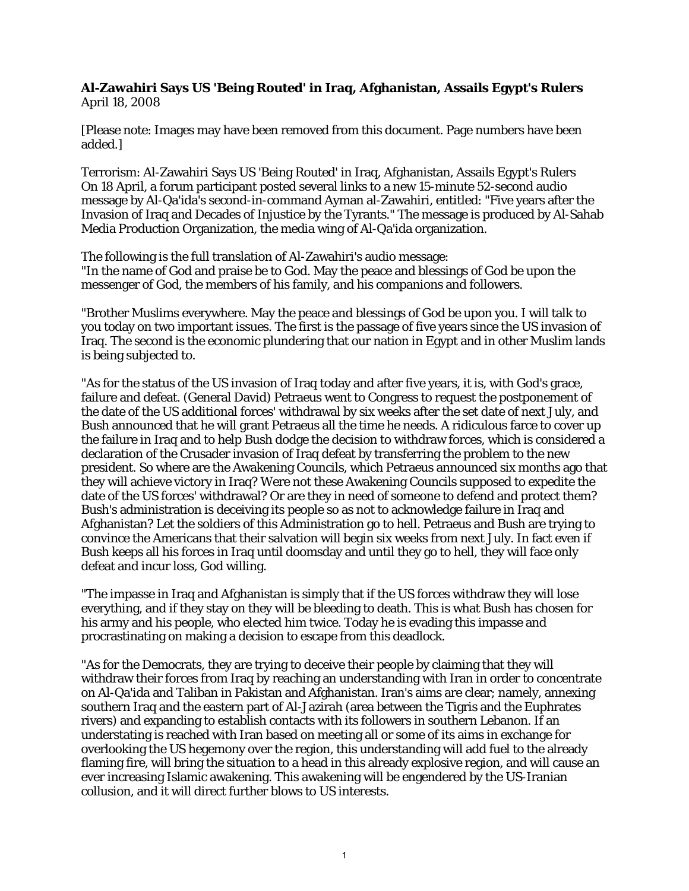## **Al-Zawahiri Says US 'Being Routed' in Iraq, Afghanistan, Assails Egypt's Rulers** April 18, 2008

[Please note: Images may have been removed from this document. Page numbers have been added.]

Terrorism: Al-Zawahiri Says US 'Being Routed' in Iraq, Afghanistan, Assails Egypt's Rulers On 18 April, a forum participant posted several links to a new 15-minute 52-second audio message by Al-Qa'ida's second-in-command Ayman al-Zawahiri, entitled: "Five years after the Invasion of Iraq and Decades of Injustice by the Tyrants." The message is produced by Al-Sahab Media Production Organization, the media wing of Al-Qa'ida organization.

The following is the full translation of Al-Zawahiri's audio message: "In the name of God and praise be to God. May the peace and blessings of God be upon the messenger of God, the members of his family, and his companions and followers.

"Brother Muslims everywhere. May the peace and blessings of God be upon you. I will talk to you today on two important issues. The first is the passage of five years since the US invasion of Iraq. The second is the economic plundering that our nation in Egypt and in other Muslim lands is being subjected to.

"As for the status of the US invasion of Iraq today and after five years, it is, with God's grace, failure and defeat. (General David) Petraeus went to Congress to request the postponement of the date of the US additional forces' withdrawal by six weeks after the set date of next July, and Bush announced that he will grant Petraeus all the time he needs. A ridiculous farce to cover up the failure in Iraq and to help Bush dodge the decision to withdraw forces, which is considered a declaration of the Crusader invasion of Iraq defeat by transferring the problem to the new president. So where are the Awakening Councils, which Petraeus announced six months ago that they will achieve victory in Iraq? Were not these Awakening Councils supposed to expedite the date of the US forces' withdrawal? Or are they in need of someone to defend and protect them? Bush's administration is deceiving its people so as not to acknowledge failure in Iraq and Afghanistan? Let the soldiers of this Administration go to hell. Petraeus and Bush are trying to convince the Americans that their salvation will begin six weeks from next July. In fact even if Bush keeps all his forces in Iraq until doomsday and until they go to hell, they will face only defeat and incur loss, God willing.

"The impasse in Iraq and Afghanistan is simply that if the US forces withdraw they will lose everything, and if they stay on they will be bleeding to death. This is what Bush has chosen for his army and his people, who elected him twice. Today he is evading this impasse and procrastinating on making a decision to escape from this deadlock.

"As for the Democrats, they are trying to deceive their people by claiming that they will withdraw their forces from Iraq by reaching an understanding with Iran in order to concentrate on Al-Qa'ida and Taliban in Pakistan and Afghanistan. Iran's aims are clear; namely, annexing southern Iraq and the eastern part of Al-Jazirah (area between the Tigris and the Euphrates rivers) and expanding to establish contacts with its followers in southern Lebanon. If an understating is reached with Iran based on meeting all or some of its aims in exchange for overlooking the US hegemony over the region, this understanding will add fuel to the already flaming fire, will bring the situation to a head in this already explosive region, and will cause an ever increasing Islamic awakening. This awakening will be engendered by the US-Iranian collusion, and it will direct further blows to US interests.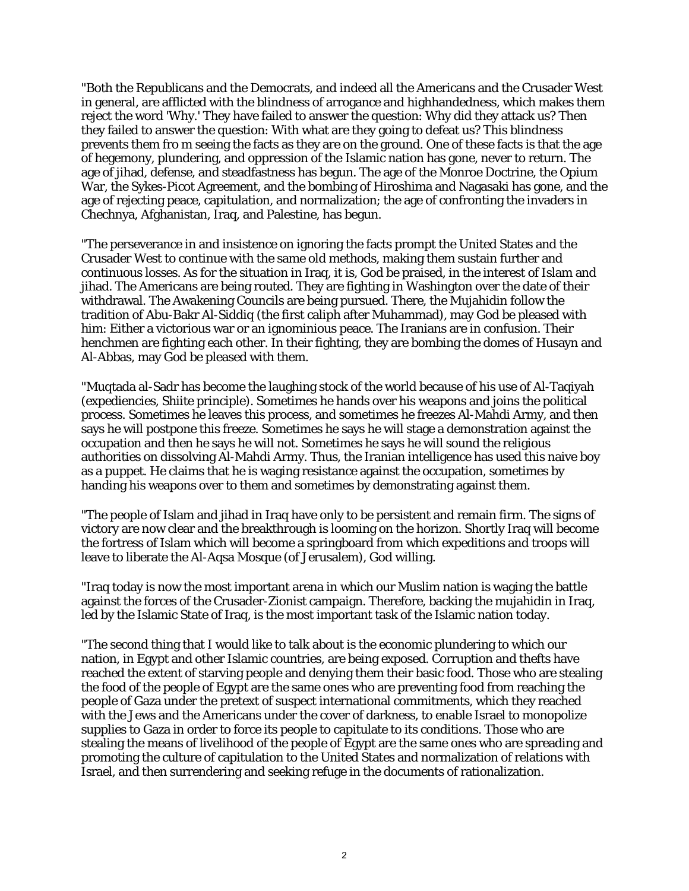"Both the Republicans and the Democrats, and indeed all the Americans and the Crusader West in general, are afflicted with the blindness of arrogance and highhandedness, which makes them reject the word 'Why.' They have failed to answer the question: Why did they attack us? Then they failed to answer the question: With what are they going to defeat us? This blindness prevents them fro m seeing the facts as they are on the ground. One of these facts is that the age of hegemony, plundering, and oppression of the Islamic nation has gone, never to return. The age of jihad, defense, and steadfastness has begun. The age of the Monroe Doctrine, the Opium War, the Sykes-Picot Agreement, and the bombing of Hiroshima and Nagasaki has gone, and the age of rejecting peace, capitulation, and normalization; the age of confronting the invaders in Chechnya, Afghanistan, Iraq, and Palestine, has begun.

"The perseverance in and insistence on ignoring the facts prompt the United States and the Crusader West to continue with the same old methods, making them sustain further and continuous losses. As for the situation in Iraq, it is, God be praised, in the interest of Islam and jihad. The Americans are being routed. They are fighting in Washington over the date of their withdrawal. The Awakening Councils are being pursued. There, the Mujahidin follow the tradition of Abu-Bakr Al-Siddiq (the first caliph after Muhammad), may God be pleased with him: Either a victorious war or an ignominious peace. The Iranians are in confusion. Their henchmen are fighting each other. In their fighting, they are bombing the domes of Husayn and Al-Abbas, may God be pleased with them.

"Muqtada al-Sadr has become the laughing stock of the world because of his use of Al-Taqiyah (expediencies, Shiite principle). Sometimes he hands over his weapons and joins the political process. Sometimes he leaves this process, and sometimes he freezes Al-Mahdi Army, and then says he will postpone this freeze. Sometimes he says he will stage a demonstration against the occupation and then he says he will not. Sometimes he says he will sound the religious authorities on dissolving Al-Mahdi Army. Thus, the Iranian intelligence has used this naive boy as a puppet. He claims that he is waging resistance against the occupation, sometimes by handing his weapons over to them and sometimes by demonstrating against them.

"The people of Islam and jihad in Iraq have only to be persistent and remain firm. The signs of victory are now clear and the breakthrough is looming on the horizon. Shortly Iraq will become the fortress of Islam which will become a springboard from which expeditions and troops will leave to liberate the Al-Aqsa Mosque (of Jerusalem), God willing.

"Iraq today is now the most important arena in which our Muslim nation is waging the battle against the forces of the Crusader-Zionist campaign. Therefore, backing the mujahidin in Iraq, led by the Islamic State of Iraq, is the most important task of the Islamic nation today.

"The second thing that I would like to talk about is the economic plundering to which our nation, in Egypt and other Islamic countries, are being exposed. Corruption and thefts have reached the extent of starving people and denying them their basic food. Those who are stealing the food of the people of Egypt are the same ones who are preventing food from reaching the people of Gaza under the pretext of suspect international commitments, which they reached with the Jews and the Americans under the cover of darkness, to enable Israel to monopolize supplies to Gaza in order to force its people to capitulate to its conditions. Those who are stealing the means of livelihood of the people of Egypt are the same ones who are spreading and promoting the culture of capitulation to the United States and normalization of relations with Israel, and then surrendering and seeking refuge in the documents of rationalization.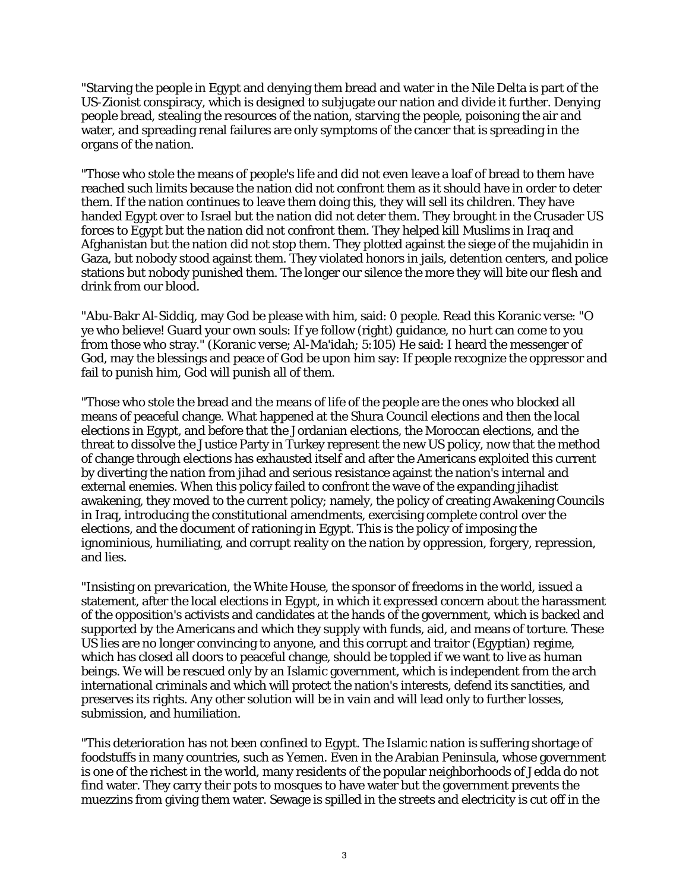"Starving the people in Egypt and denying them bread and water in the Nile Delta is part of the US-Zionist conspiracy, which is designed to subjugate our nation and divide it further. Denying people bread, stealing the resources of the nation, starving the people, poisoning the air and water, and spreading renal failures are only symptoms of the cancer that is spreading in the organs of the nation.

"Those who stole the means of people's life and did not even leave a loaf of bread to them have reached such limits because the nation did not confront them as it should have in order to deter them. If the nation continues to leave them doing this, they will sell its children. They have handed Egypt over to Israel but the nation did not deter them. They brought in the Crusader US forces to Egypt but the nation did not confront them. They helped kill Muslims in Iraq and Afghanistan but the nation did not stop them. They plotted against the siege of the mujahidin in Gaza, but nobody stood against them. They violated honors in jails, detention centers, and police stations but nobody punished them. The longer our silence the more they will bite our flesh and drink from our blood.

"Abu-Bakr Al-Siddiq, may God be please with him, said: 0 people. Read this Koranic verse: "O ye who believe! Guard your own souls: If ye follow (right) guidance, no hurt can come to you from those who stray." (Koranic verse; Al-Ma'idah; 5:105) He said: I heard the messenger of God, may the blessings and peace of God be upon him say: If people recognize the oppressor and fail to punish him, God will punish all of them.

"Those who stole the bread and the means of life of the people are the ones who blocked all means of peaceful change. What happened at the Shura Council elections and then the local elections in Egypt, and before that the Jordanian elections, the Moroccan elections, and the threat to dissolve the Justice Party in Turkey represent the new US policy, now that the method of change through elections has exhausted itself and after the Americans exploited this current by diverting the nation from jihad and serious resistance against the nation's internal and external enemies. When this policy failed to confront the wave of the expanding jihadist awakening, they moved to the current policy; namely, the policy of creating Awakening Councils in Iraq, introducing the constitutional amendments, exercising complete control over the elections, and the document of rationing in Egypt. This is the policy of imposing the ignominious, humiliating, and corrupt reality on the nation by oppression, forgery, repression, and lies.

"Insisting on prevarication, the White House, the sponsor of freedoms in the world, issued a statement, after the local elections in Egypt, in which it expressed concern about the harassment of the opposition's activists and candidates at the hands of the government, which is backed and supported by the Americans and which they supply with funds, aid, and means of torture. These US lies are no longer convincing to anyone, and this corrupt and traitor (Egyptian) regime, which has closed all doors to peaceful change, should be toppled if we want to live as human beings. We will be rescued only by an Islamic government, which is independent from the arch international criminals and which will protect the nation's interests, defend its sanctities, and preserves its rights. Any other solution will be in vain and will lead only to further losses, submission, and humiliation.

"This deterioration has not been confined to Egypt. The Islamic nation is suffering shortage of foodstuffs in many countries, such as Yemen. Even in the Arabian Peninsula, whose government is one of the richest in the world, many residents of the popular neighborhoods of Jedda do not find water. They carry their pots to mosques to have water but the government prevents the muezzins from giving them water. Sewage is spilled in the streets and electricity is cut off in the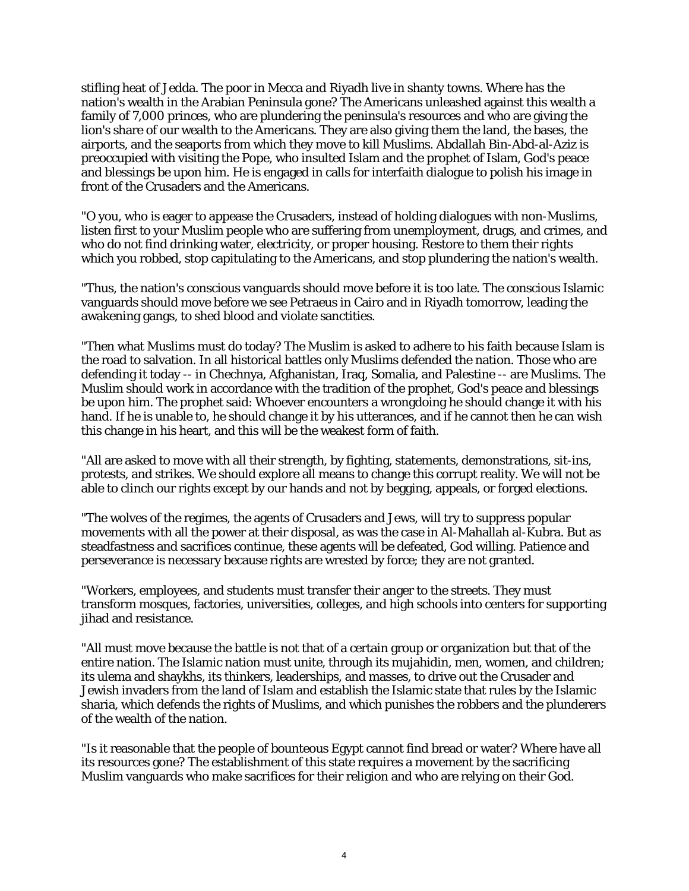stifling heat of Jedda. The poor in Mecca and Riyadh live in shanty towns. Where has the nation's wealth in the Arabian Peninsula gone? The Americans unleashed against this wealth a family of 7,000 princes, who are plundering the peninsula's resources and who are giving the lion's share of our wealth to the Americans. They are also giving them the land, the bases, the airports, and the seaports from which they move to kill Muslims. Abdallah Bin-Abd-al-Aziz is preoccupied with visiting the Pope, who insulted Islam and the prophet of Islam, God's peace and blessings be upon him. He is engaged in calls for interfaith dialogue to polish his image in front of the Crusaders and the Americans.

"O you, who is eager to appease the Crusaders, instead of holding dialogues with non-Muslims, listen first to your Muslim people who are suffering from unemployment, drugs, and crimes, and who do not find drinking water, electricity, or proper housing. Restore to them their rights which you robbed, stop capitulating to the Americans, and stop plundering the nation's wealth.

"Thus, the nation's conscious vanguards should move before it is too late. The conscious Islamic vanguards should move before we see Petraeus in Cairo and in Riyadh tomorrow, leading the awakening gangs, to shed blood and violate sanctities.

"Then what Muslims must do today? The Muslim is asked to adhere to his faith because Islam is the road to salvation. In all historical battles only Muslims defended the nation. Those who are defending it today -- in Chechnya, Afghanistan, Iraq, Somalia, and Palestine -- are Muslims. The Muslim should work in accordance with the tradition of the prophet, God's peace and blessings be upon him. The prophet said: Whoever encounters a wrongdoing he should change it with his hand. If he is unable to, he should change it by his utterances, and if he cannot then he can wish this change in his heart, and this will be the weakest form of faith.

"All are asked to move with all their strength, by fighting, statements, demonstrations, sit-ins, protests, and strikes. We should explore all means to change this corrupt reality. We will not be able to clinch our rights except by our hands and not by begging, appeals, or forged elections.

"The wolves of the regimes, the agents of Crusaders and Jews, will try to suppress popular movements with all the power at their disposal, as was the case in Al-Mahallah al-Kubra. But as steadfastness and sacrifices continue, these agents will be defeated, God willing. Patience and perseverance is necessary because rights are wrested by force; they are not granted.

"Workers, employees, and students must transfer their anger to the streets. They must transform mosques, factories, universities, colleges, and high schools into centers for supporting jihad and resistance.

"All must move because the battle is not that of a certain group or organization but that of the entire nation. The Islamic nation must unite, through its mujahidin, men, women, and children; its ulema and shaykhs, its thinkers, leaderships, and masses, to drive out the Crusader and Jewish invaders from the land of Islam and establish the Islamic state that rules by the Islamic sharia, which defends the rights of Muslims, and which punishes the robbers and the plunderers of the wealth of the nation.

"Is it reasonable that the people of bounteous Egypt cannot find bread or water? Where have all its resources gone? The establishment of this state requires a movement by the sacrificing Muslim vanguards who make sacrifices for their religion and who are relying on their God.